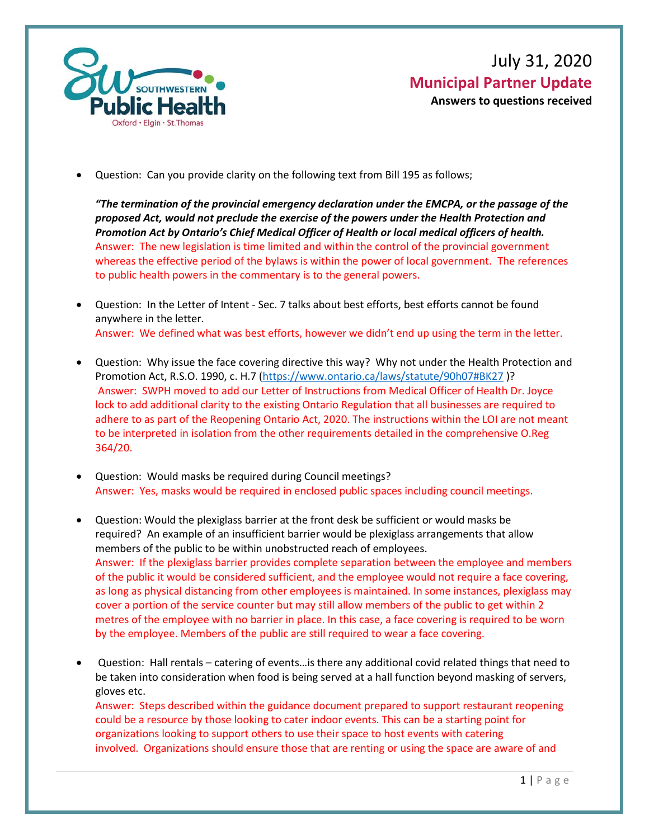

• Question: Can you provide clarity on the following text from Bill 195 as follows;

*"The termination of the provincial emergency declaration under the EMCPA, or the passage of the proposed Act, would not preclude the exercise of the powers under the Health Protection and Promotion Act by Ontario's Chief Medical Officer of Health or local medical officers of health.*  Answer: The new legislation is time limited and within the control of the provincial government whereas the effective period of the bylaws is within the power of local government. The references to public health powers in the commentary is to the general powers.

- Question: In the Letter of Intent Sec. 7 talks about best efforts, best efforts cannot be found anywhere in the letter. Answer: We defined what was best efforts, however we didn't end up using the term in the letter.
- Question: Why issue the face covering directive this way? Why not under the Health Protection and Promotion Act, R.S.O. 1990, c. H.7 [\(https://www.ontario.ca/laws/statute/90h07#BK27](https://www.ontario.ca/laws/statute/90h07#BK27) )? Answer: SWPH moved to add our Letter of Instructions from Medical Officer of Health Dr. Joyce lock to add additional clarity to the existing Ontario Regulation that all businesses are required to adhere to as part of the Reopening Ontario Act, 2020. The instructions within the LOI are not meant to be interpreted in isolation from the other requirements detailed in the comprehensive O.Reg 364/20.
- Question: Would masks be required during Council meetings? Answer: Yes, masks would be required in enclosed public spaces including council meetings.
- Question: Would the plexiglass barrier at the front desk be sufficient or would masks be required? An example of an insufficient barrier would be plexiglass arrangements that allow members of the public to be within unobstructed reach of employees. Answer: If the plexiglass barrier provides complete separation between the employee and members of the public it would be considered sufficient, and the employee would not require a face covering, as long as physical distancing from other employees is maintained. In some instances, plexiglass may cover a portion of the service counter but may still allow members of the public to get within 2 metres of the employee with no barrier in place. In this case, a face covering is required to be worn by the employee. Members of the public are still required to wear a face covering.
- Question: Hall rentals catering of events…is there any additional covid related things that need to be taken into consideration when food is being served at a hall function beyond masking of servers, gloves etc.

Answer: Steps described within the guidance document prepared to support restaurant reopening could be a resource by those looking to cater indoor events. This can be a starting point for organizations looking to support others to use their space to host events with catering involved. Organizations should ensure those that are renting or using the space are aware of and